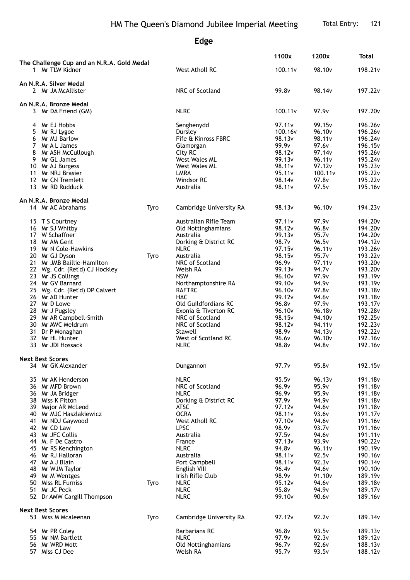## **Edge**

|                                                               |      |                                       | 1100x                        | 1200x              | <b>Total</b>                   |
|---------------------------------------------------------------|------|---------------------------------------|------------------------------|--------------------|--------------------------------|
| The Challenge Cup and an N.R.A. Gold Medal<br>1 Mr TLW Kidner |      | West Atholl RC                        | 100.11v                      | 98.10 <sub>v</sub> | 198.21v                        |
| An N.R.A. Silver Medal                                        |      |                                       |                              |                    |                                |
| 2 Mr JA McAllister                                            |      | NRC of Scotland                       | 99.8v                        | 98.14v             | 197.22v                        |
| An N.R.A. Bronze Medal                                        |      |                                       |                              |                    |                                |
| 3 Mr DA Friend (GM)                                           |      | <b>NLRC</b>                           | 100.11v                      | 97.9 <sub>v</sub>  | 197.20v                        |
| 4 Mr EJ Hobbs                                                 |      | Senghenydd                            | 97.11 <sub>v</sub>           | 99.15 <sub>v</sub> | 196.26v                        |
| 5<br>Mr RJ Lygoe                                              |      | Dursley                               | 100.16 <sub>v</sub>          | 96.10v             | 196.26v                        |
| 6 Mr MJ Barlow                                                |      | Fife & Kinross FBRC                   | 98.13v                       | 98.11v             | 196.24v                        |
| 7 Mr A L James                                                |      | Glamorgan                             | 99.9 <sub>v</sub>            | 97.6v              | 196.15v                        |
| 8<br>Mr ASH McCullough                                        |      | City RC                               | 98.12v                       | 97.14v             | 195.26v                        |
| 9 Mr GL James                                                 |      | <b>West Wales ML</b><br>West Wales ML | 99.13v<br>98.11 <sub>v</sub> | 96.11v<br>97.12v   | 195.24v<br>195.23v             |
| 10 Mr AJ Burgess<br>11 Mr NRJ Brasier                         |      | LMRA                                  | 95.11v                       | 100.11v            | 195.22v                        |
| 12 Mr CN Tremlett                                             |      | Windsor RC                            | 98.14v                       | 97.8v              | 195.22v                        |
| 13 Mr RD Rudduck                                              |      | Australia                             | 98.11v                       | 97.5v              | 195.16v                        |
| An N.R.A. Bronze Medal                                        |      |                                       |                              |                    |                                |
| 14 Mr AC Abrahams                                             | Tyro | Cambridge University RA               | 98.13 <sub>v</sub>           | 96.10 <sub>v</sub> | 194.23v                        |
| 15 T S Courtney                                               |      | Australian Rifle Team                 | 97.11v                       | 97.9v              | 194.20 <sub>v</sub>            |
| 16 Mr SJ Whitby                                               |      | Old Nottinghamians                    | 98.12v                       | 96.8v              | 194.20v                        |
| 17 W Schaffner                                                |      | Australia                             | 99.13v                       | 95.7v              | 194.20v                        |
| 18 Mr AM Gent                                                 |      | Dorking & District RC                 | 98.7v                        | 96.5v              | 194.12v                        |
| 19 Mr N Cole-Hawkins                                          |      | <b>NLRC</b>                           | 97.15 <sub>v</sub>           | 96.11v             | 193.26v                        |
| 20 Mr GJ Dyson<br>21 Mr JMB Baillie-Hamilton                  | Tyro | Australia<br>NRC of Scotland          | 98.15v<br>96.9v              | 95.7v<br>97.11v    | 193.22v<br>193.20 <sub>v</sub> |
| 22 Wg. Cdr. (Ret'd) CJ Hockley                                |      | Welsh RA                              | 99.13 <sub>v</sub>           | 94.7 <sub>v</sub>  | 193.20 <sub>v</sub>            |
| 23 Mr JS Collings                                             |      | <b>NSW</b>                            | 96.10v                       | 97.9v              | 193.19v                        |
| 24 Mr GV Barnard                                              |      | Northamptonshire RA                   | 99.10 <sub>v</sub>           | 94.9v              | 193.19v                        |
| 25 Wg. Cdr. (Ret'd) DP Calvert                                |      | <b>RAFTRC</b>                         | 96.10 <sub>v</sub>           | 97.8v              | 193.18v                        |
| 26 Mr AD Hunter                                               |      | <b>HAC</b>                            | 99.12v                       | 94.6v              | 193.18v                        |
| 27 Mr D Lowe                                                  |      | Old Guildfordians RC                  | 96.8v                        | 97.9v              | 193.17 <sub>v</sub>            |
| 28 Mr J Pugsley                                               |      | Exonia & Tiverton RC                  | 96.10v                       | 96.18v             | 192.28v                        |
| 29 Mr AR Campbell-Smith                                       |      | NRC of Scotland                       | 98.15v                       | 94.10 <sub>v</sub> | 192.25v                        |
| 30 Mr AWC Meldrum                                             |      | NRC of Scotland                       | 98.12v                       | 94.11 <sub>v</sub> | 192.23v                        |
| 31 Dr P Monaghan<br>32 Mr HL Hunter                           |      | Stawell<br>West of Scotland RC        | 98.9v<br>96.6v               | 94.13v<br>96.10v   | 192.22v<br>192.16v             |
| 33 Mr JDI Hossack                                             |      | <b>NLRC</b>                           | 98.8v                        | 94.8v              | 192.16v                        |
| <b>Next Best Scores</b>                                       |      |                                       |                              |                    |                                |
| 34 Mr GK Alexander                                            |      | Dungannon                             | 97.7 <sub>v</sub>            | 95.8v              | 192.15v                        |
| 35 Mr AK Henderson                                            |      | <b>NLRC</b>                           | 95.5v                        | 96.13v             | 191.18v                        |
| 36 Mr MFD Brown                                               |      | NRC of Scotland                       | 96.9v                        | 95.9v              | 191.18v                        |
| 36 Mr JA Bridger                                              |      | <b>NLRC</b>                           | 96.9v                        | 95.9v              | 191.18v                        |
| 38 Miss K Fitton                                              |      | Dorking & District RC                 | 97.9v                        | 94.9v              | 191.18v                        |
| 39 Major AR McLeod                                            |      | ATSC                                  | 97.12v                       | 94.6v              | 191.18v                        |
| 40 Mr MJC Haszlakiewicz<br>41 Mr NDJ Gaywood                  |      | <b>OCRA</b><br>West Atholl RC         | 98.11v<br>97.10 <sub>v</sub> | 93.6v<br>94.6v     | 191.17 <sub>v</sub><br>191.16v |
| 42 Mr CD Law                                                  |      | <b>LPSC</b>                           | 98.9v                        | 93.7v              | 191.16v                        |
| 43 Mr JFC Collis                                              |      | Australia                             | 97.5v                        | 94.6v              | 191.11 <sub>v</sub>            |
| 44 M. F De Castro                                             |      | France                                | 97.13v                       | 93.9v              | 190.22v                        |
| 45 Mr RS Kenchington                                          |      | <b>NLRC</b>                           | 94.8v                        | 96.11 <sub>v</sub> | 190.19 <sub>v</sub>            |
| 46 Mr RJ Halloran                                             |      | Australia                             | 98.11 <sub>v</sub>           | 92.5v              | 190.16v                        |
| 47 Mr A J Blain                                               |      | Port Campbell                         | 98.11v                       | 92.3v              | 190.14v                        |
| 48 Mr WJM Taylor                                              |      | English VIII                          | 96.4 <sub>v</sub>            | 94.6v              | 190.10 <sub>v</sub>            |
| 49 Mr M Wentges                                               |      | Irish Rifle Club                      | 98.9v                        | 91.10 <sub>v</sub> | 189.19v                        |
| 50 Miss RL Furniss<br>51 Mr JC Peck                           | Tyro | <b>NLRC</b><br><b>NLRC</b>            | 95.12v<br>95.8v              | 94.6v<br>94.9v     | 189.18v<br>189.17 <sub>v</sub> |
| 52 Dr AMW Cargill Thompson                                    |      | <b>NLRC</b>                           | 99.10 <sub>v</sub>           | 90.6v              | 189.16v                        |
| <b>Next Best Scores</b>                                       |      |                                       |                              |                    |                                |
| 53 Miss M Mcaleenan                                           | Tyro | Cambridge University RA               | 97.12 <sub>v</sub>           | 92.2v              | 189.14v                        |
| 54 Mr PR Coley                                                |      | <b>Barbarians RC</b>                  | 96.8v                        | 93.5v              | 189.13v                        |
| 55 Mr NM Bartlett                                             |      | <b>NLRC</b>                           | 97.9v                        | 92.3v              | 189.12 <sub>v</sub>            |
| 56 Mr WRD Mott                                                |      | Old Nottinghamians                    | 96.7v                        | 92.6v              | 188.13v                        |
| 57 Miss CJ Dee                                                |      | Welsh RA                              | 95.7v                        | 93.5v              | 188.12v                        |